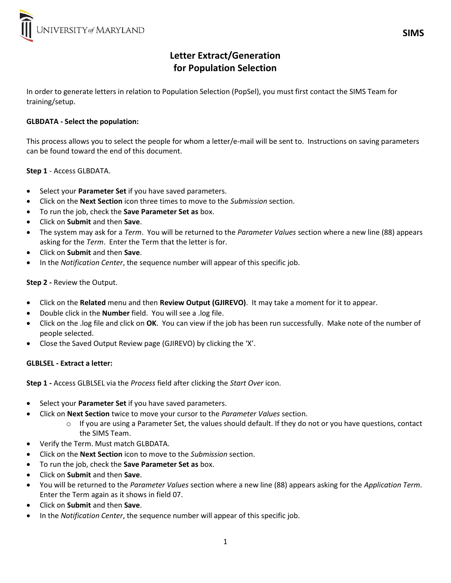

# Letter Extract/Generation for Population Selection

In order to generate letters in relation to Population Selection (PopSel), you must first contact the SIMS Team for training/setup.

#### GLBDATA - Select the population:

This process allows you to select the people for whom a letter/e-mail will be sent to. Instructions on saving parameters can be found toward the end of this document.

Step 1 - Access GLBDATA.

- Select your Parameter Set if you have saved parameters.
- Click on the Next Section icon three times to move to the Submission section.
- To run the job, check the Save Parameter Set as box.
- Click on Submit and then Save.
- The system may ask for a Term. You will be returned to the Parameter Values section where a new line (88) appears asking for the Term. Enter the Term that the letter is for.
- Click on Submit and then Save.
- In the Notification Center, the sequence number will appear of this specific job.

#### Step 2 - Review the Output.

- Click on the Related menu and then Review Output (GJIREVO). It may take a moment for it to appear.
- Double click in the **Number** field. You will see a .log file.
- Click on the .log file and click on OK. You can view if the job has been run successfully. Make note of the number of people selected.
- Close the Saved Output Review page (GJIREVO) by clicking the 'X'.

#### GLBLSEL - Extract a letter:

Step 1 - Access GLBLSEL via the Process field after clicking the Start Over icon.

- Select your Parameter Set if you have saved parameters.
- Click on Next Section twice to move your cursor to the Parameter Values section.
	- $\circ$  If you are using a Parameter Set, the values should default. If they do not or you have questions, contact the SIMS Team.
- Verify the Term. Must match GLBDATA.
- **•** Click on the **Next Section** icon to move to the Submission section.
- To run the job, check the **Save Parameter Set as** box.
- Click on Submit and then Save.
- You will be returned to the Parameter Values section where a new line (88) appears asking for the Application Term. Enter the Term again as it shows in field 07.
- Click on Submit and then Save.
- In the Notification Center, the sequence number will appear of this specific job.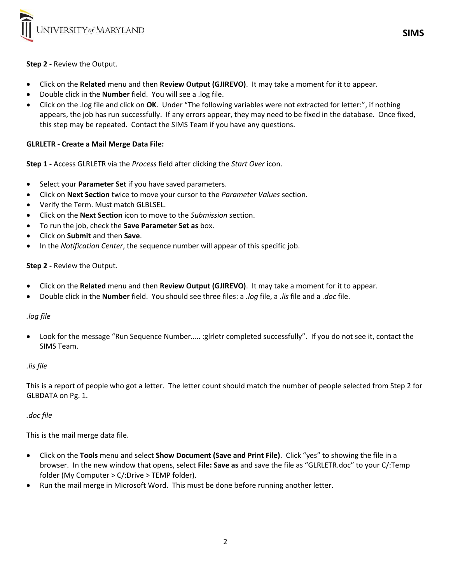

#### Step 2 - Review the Output.

- Click on the Related menu and then Review Output (GJIREVO). It may take a moment for it to appear.
- Double click in the Number field. You will see a .log file.
- Click on the .log file and click on OK. Under "The following variables were not extracted for letter:", if nothing appears, the job has run successfully. If any errors appear, they may need to be fixed in the database. Once fixed, this step may be repeated. Contact the SIMS Team if you have any questions.

#### GLRLETR - Create a Mail Merge Data File:

Step 1 - Access GLRLETR via the Process field after clicking the Start Over icon.

- Select your Parameter Set if you have saved parameters.
- Click on Next Section twice to move your cursor to the Parameter Values section.
- Verify the Term. Must match GLBLSEL.
- Click on the Next Section icon to move to the Submission section.
- To run the job, check the Save Parameter Set as box.
- Click on Submit and then Save.
- In the Notification Center, the sequence number will appear of this specific job.

#### Step 2 - Review the Output.

- Click on the Related menu and then Review Output (GJIREVO). It may take a moment for it to appear.
- Double click in the **Number** field. You should see three files: a *.loq* file, a *.lis* file and a *.doc* file.

#### .log file

 Look for the message "Run Sequence Number….. :glrletr completed successfully". If you do not see it, contact the SIMS Team.

#### .lis file

This is a report of people who got a letter. The letter count should match the number of people selected from Step 2 for GLBDATA on Pg. 1.

#### .doc file

This is the mail merge data file.

- Click on the Tools menu and select Show Document (Save and Print File). Click "yes" to showing the file in a browser. In the new window that opens, select File: Save as and save the file as "GLRLETR.doc" to your C/:Temp folder (My Computer > C/:Drive > TEMP folder).
- Run the mail merge in Microsoft Word. This must be done before running another letter.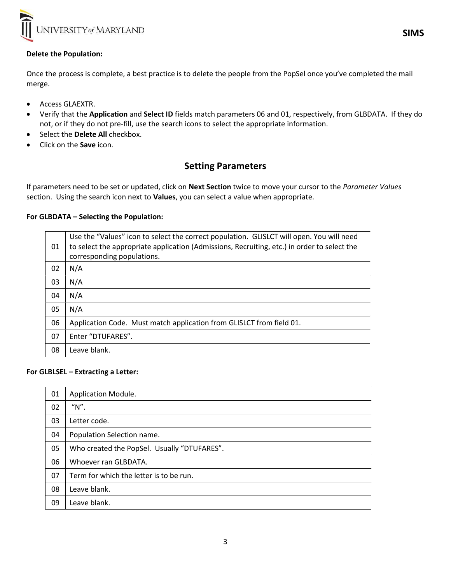

#### Delete the Population:

Once the process is complete, a best practice is to delete the people from the PopSel once you've completed the mail merge.

- Access GLAEXTR.
- Verify that the Application and Select ID fields match parameters 06 and 01, respectively, from GLBDATA. If they do not, or if they do not pre-fill, use the search icons to select the appropriate information.
- Select the Delete All checkbox.
- Click on the Save icon.

## Setting Parameters

If parameters need to be set or updated, click on Next Section twice to move your cursor to the Parameter Values section. Using the search icon next to Values, you can select a value when appropriate.

#### For GLBDATA – Selecting the Population:

| 01 | Use the "Values" icon to select the correct population. GLISLCT will open. You will need<br>to select the appropriate application (Admissions, Recruiting, etc.) in order to select the<br>corresponding populations. |
|----|-----------------------------------------------------------------------------------------------------------------------------------------------------------------------------------------------------------------------|
| 02 | N/A                                                                                                                                                                                                                   |
| 03 | N/A                                                                                                                                                                                                                   |
| 04 | N/A                                                                                                                                                                                                                   |
| 05 | N/A                                                                                                                                                                                                                   |
| 06 | Application Code. Must match application from GLISLCT from field 01.                                                                                                                                                  |
| 07 | Enter "DTUFARES".                                                                                                                                                                                                     |
| 08 | Leave blank.                                                                                                                                                                                                          |

#### For GLBLSEL – Extracting a Letter:

| 01 | <b>Application Module.</b>                  |
|----|---------------------------------------------|
| 02 | $^{\prime\prime}$ N $^{\prime\prime}$ .     |
| 03 | Letter code.                                |
| 04 | Population Selection name.                  |
| 05 | Who created the PopSel. Usually "DTUFARES". |
| 06 | Whoever ran GLBDATA.                        |
| 07 | Term for which the letter is to be run.     |
| 08 | Leave blank.                                |
| 09 | Leave blank.                                |
|    |                                             |